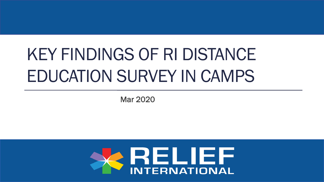# KEY FINDINGS OF RI DISTANCE EDUCATION SURVEY IN CAMPS

Mar 2020

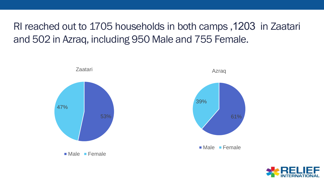#### RI reached out to 1705 households in both camps ,1203 in Zaatari and 502 in Azraq, including 950 Male and 755 Female.



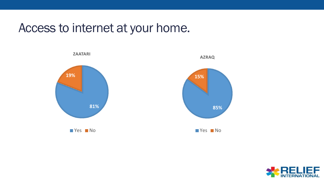#### Access to internet at your home.



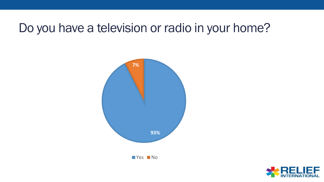#### Do you have a television or radio in your home?



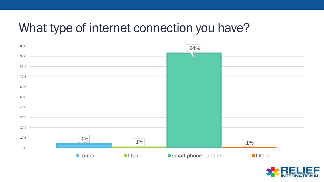#### What type of internet connection you have?



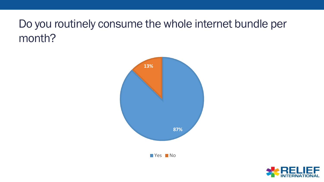#### Do you routinely consume the whole internet bundle per month?



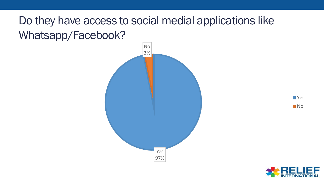#### Do they have access to social medial applications like Whatsapp/Facebook?





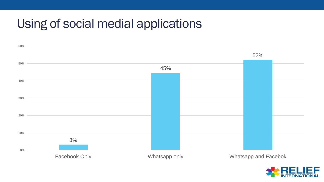## Using of social medial applications



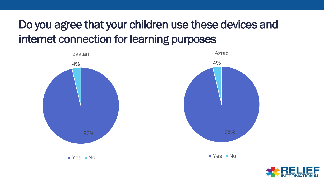## Do you agree that your children use these devices and internet connection for learning purposes



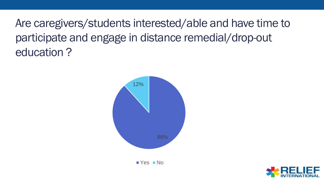Are caregivers/students interested/able and have time to participate and engage in distance remedial/drop-out education ?



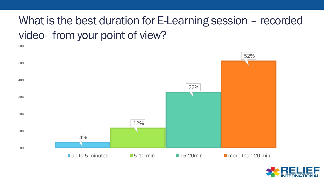### What is the best duration for E-Learning session – recorded video- from your point of view?



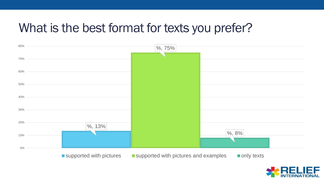#### What is the best format for texts you prefer?



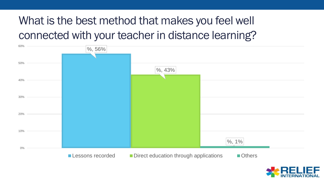### What is the best method that makes you feel well connected with your teacher in distance learning?